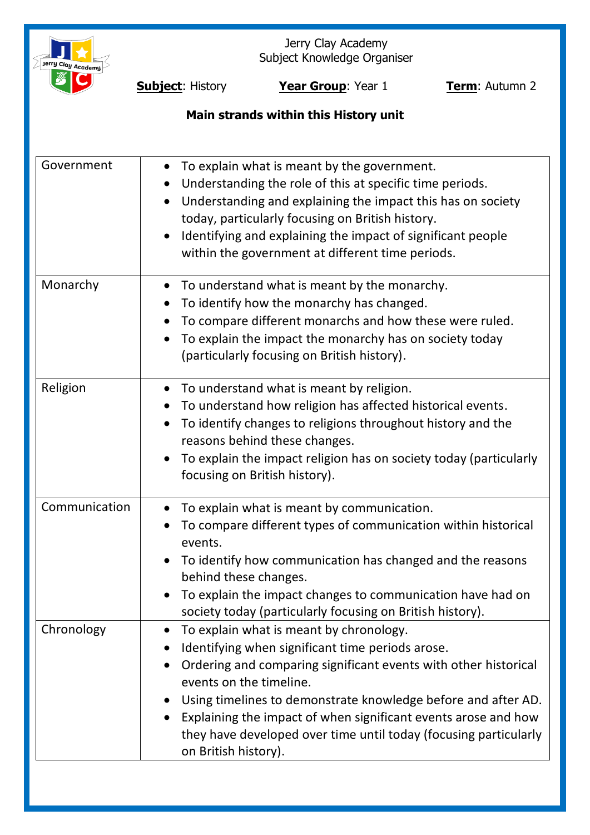

Jerry Clay Academy Subject Knowledge Organiser

**Subject**: History **Year Group**: Year 1 **Term**: Autumn 2

# **Main strands within this History unit**

| Government    | To explain what is meant by the government.<br>$\bullet$<br>Understanding the role of this at specific time periods.<br>Understanding and explaining the impact this has on society<br>today, particularly focusing on British history.<br>Identifying and explaining the impact of significant people<br>within the government at different time periods.                                                                            |
|---------------|---------------------------------------------------------------------------------------------------------------------------------------------------------------------------------------------------------------------------------------------------------------------------------------------------------------------------------------------------------------------------------------------------------------------------------------|
| Monarchy      | To understand what is meant by the monarchy.<br>$\bullet$<br>To identify how the monarchy has changed.<br>To compare different monarchs and how these were ruled.<br>To explain the impact the monarchy has on society today<br>(particularly focusing on British history).                                                                                                                                                           |
| Religion      | To understand what is meant by religion.<br>To understand how religion has affected historical events.<br>To identify changes to religions throughout history and the<br>$\bullet$<br>reasons behind these changes.<br>To explain the impact religion has on society today (particularly<br>focusing on British history).                                                                                                             |
| Communication | To explain what is meant by communication.<br>To compare different types of communication within historical<br>events.<br>To identify how communication has changed and the reasons<br>behind these changes.<br>• To explain the impact changes to communication have had on<br>society today (particularly focusing on British history).                                                                                             |
| Chronology    | To explain what is meant by chronology.<br>$\bullet$<br>Identifying when significant time periods arose.<br>Ordering and comparing significant events with other historical<br>events on the timeline.<br>Using timelines to demonstrate knowledge before and after AD.<br>Explaining the impact of when significant events arose and how<br>they have developed over time until today (focusing particularly<br>on British history). |